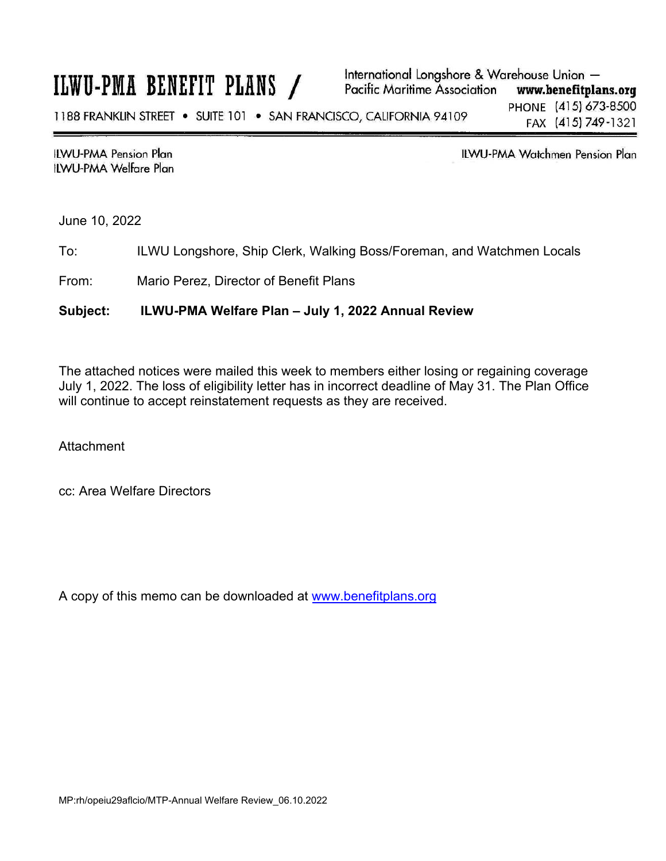# ILWU-PMA BENEFIT PLANS /

**ILWU-PMA Pension Plan ILWU-PMA Welfare Plan**  **ILWU-PMA Watchmen Pension Plan** 

June 10, 2022

To: ILWU Longshore, Ship Clerk, Walking Boss/Foreman, and Watchmen Locals

From: Mario Perez, Director of Benefit Plans

### **Subject: ILWU-PMA Welfare Plan – July 1, 2022 Annual Review**

The attached notices were mailed this week to members either losing or regaining coverage July 1, 2022. The loss of eligibility letter has in incorrect deadline of May 31. The Plan Office will continue to accept reinstatement requests as they are received.

**Attachment** 

cc: Area Welfare Directors

A copy of this memo can be downloaded at www.benefitplans.org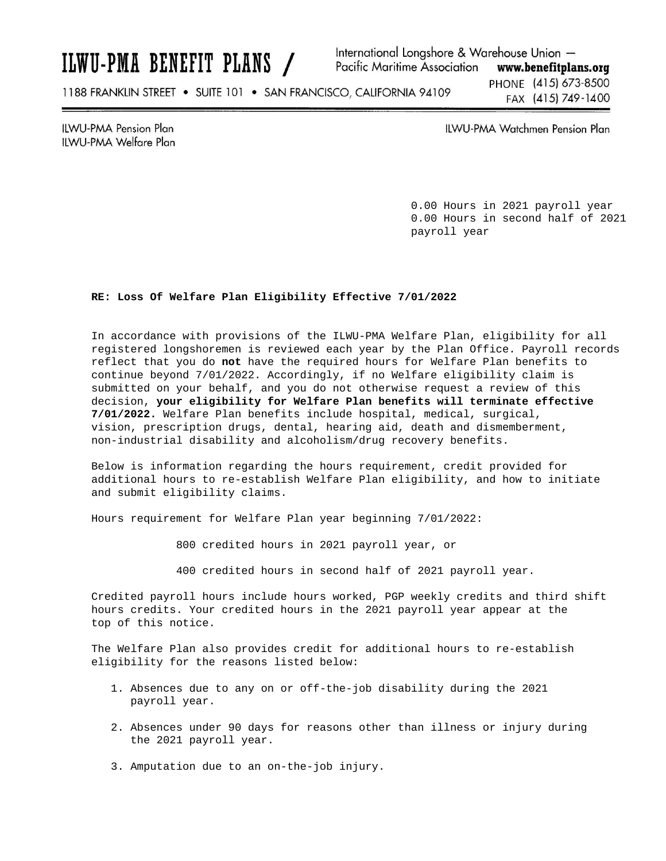ILWU-PMA BENEFIT PLANS /

International Longshore & Warehouse Union -**Pacific Maritime Association** www.benefitplans.org

1188 FRANKLIN STREET . SUITE 101 . SAN FRANCISCO, CALIFORNIA 94109

PHONE (415) 673-8500 FAX (415) 749-1400

**ILWU-PMA Pension Plan** ILWU-PMA Welfare Plan **ILWU-PMA Watchmen Pension Plan** 

0.00 Hours in 2021 payroll year 0.00 Hours in second half of 2021 payroll year

### **RE: Loss Of Welfare Plan Eligibility Effective 7/01/2022**

In accordance with provisions of the ILWU-PMA Welfare Plan, eligibility for all registered longshoremen is reviewed each year by the Plan Office. Payroll records reflect that you do **not** have the required hours for Welfare Plan benefits to continue beyond 7/01/2022. Accordingly, if no Welfare eligibility claim is submitted on your behalf, and you do not otherwise request a review of this decision, **your eligibility for Welfare Plan benefits will terminate effective 7/01/2022.** Welfare Plan benefits include hospital, medical, surgical, vision, prescription drugs, dental, hearing aid, death and dismemberment, non-industrial disability and alcoholism/drug recovery benefits.

Below is information regarding the hours requirement, credit provided for additional hours to re-establish Welfare Plan eligibility, and how to initiate and submit eligibility claims.

Hours requirement for Welfare Plan year beginning 7/01/2022:

800 credited hours in 2021 payroll year, or

400 credited hours in second half of 2021 payroll year.

Credited payroll hours include hours worked, PGP weekly credits and third shift hours credits. Your credited hours in the 2021 payroll year appear at the top of this notice.

The Welfare Plan also provides credit for additional hours to re-establish eligibility for the reasons listed below:

- 1. Absences due to any on or off-the-job disability during the 2021 payroll year.
- 2. Absences under 90 days for reasons other than illness or injury during the 2021 payroll year.
- 3. Amputation due to an on-the-job injury.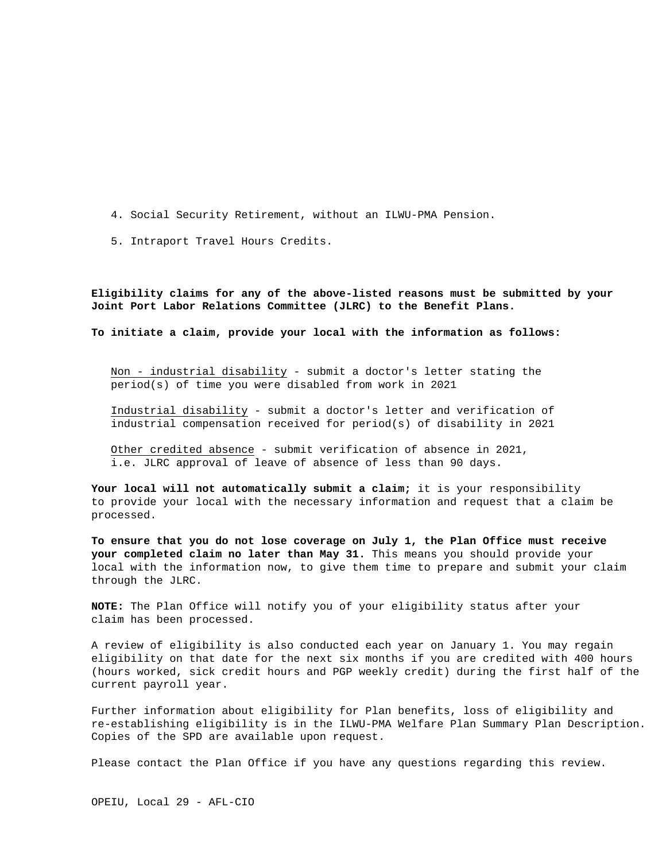- 4. Social Security Retirement, without an ILWU-PMA Pension.
- 5. Intraport Travel Hours Credits.

**Eligibility claims for any of the above-listed reasons must be submitted by your Joint Port Labor Relations Committee (JLRC) to the Benefit Plans.**

**To initiate a claim, provide your local with the information as follows:**

Non - industrial disability - submit a doctor's letter stating the period(s) of time you were disabled from work in 2021

Industrial disability - submit a doctor's letter and verification of industrial compensation received for period(s) of disability in 2021

Other credited absence - submit verification of absence in 2021, i.e. JLRC approval of leave of absence of less than 90 days.

**Your local will not automatically submit a claim;** it is your responsibility to provide your local with the necessary information and request that a claim be processed.

**To ensure that you do not lose coverage on July 1, the Plan Office must receive your completed claim no later than May 31.** This means you should provide your local with the information now, to give them time to prepare and submit your claim through the JLRC.

**NOTE:** The Plan Office will notify you of your eligibility status after your claim has been processed.

A review of eligibility is also conducted each year on January 1. You may regain eligibility on that date for the next six months if you are credited with 400 hours (hours worked, sick credit hours and PGP weekly credit) during the first half of the current payroll year.

Further information about eligibility for Plan benefits, loss of eligibility and re-establishing eligibility is in the ILWU-PMA Welfare Plan Summary Plan Description. Copies of the SPD are available upon request.

Please contact the Plan Office if you have any questions regarding this review.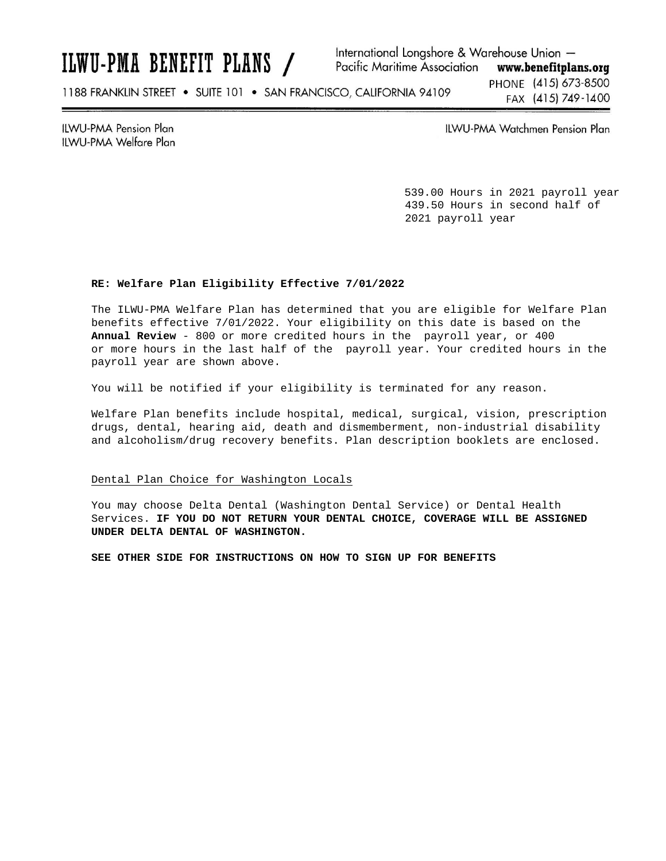## ILWU-PMA BENEFIT PLANS /

International Longshore & Warehouse Union -**Pacific Maritime Association** www.benefitplans.org

1188 FRANKLIN STREET . SUITE 101 . SAN FRANCISCO, CALIFORNIA 94109

PHONE (415) 673-8500 FAX (415) 749-1400

**ILWU-PMA Pension Plan** ILWU-PMA Welfare Plan ILWU-PMA Watchmen Pension Plan

539.00 Hours in 2021 payroll year 439.50 Hours in second half of 2021 payroll year

### **RE: Welfare Plan Eligibility Effective 7/01/2022**

The ILWU-PMA Welfare Plan has determined that you are eligible for Welfare Plan benefits effective 7/01/2022. Your eligibility on this date is based on the **Annual Review** - 800 or more credited hours in the payroll year, or 400 or more hours in the last half of the payroll year. Your credited hours in the payroll year are shown above.

You will be notified if your eligibility is terminated for any reason.

Welfare Plan benefits include hospital, medical, surgical, vision, prescription drugs, dental, hearing aid, death and dismemberment, non-industrial disability and alcoholism/drug recovery benefits. Plan description booklets are enclosed.

#### Dental Plan Choice for Washington Locals

You may choose Delta Dental (Washington Dental Service) or Dental Health Services. **IF YOU DO NOT RETURN YOUR DENTAL CHOICE, COVERAGE WILL BE ASSIGNED UNDER DELTA DENTAL OF WASHINGTON.**

**SEE OTHER SIDE FOR INSTRUCTIONS ON HOW TO SIGN UP FOR BENEFITS**